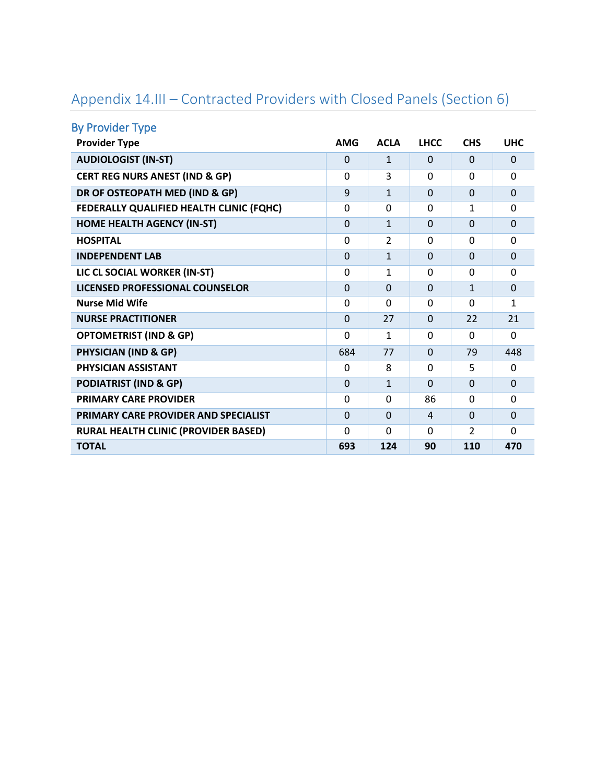| <b>By Provider Type</b>                     |             |              |                |                |                |
|---------------------------------------------|-------------|--------------|----------------|----------------|----------------|
| <b>Provider Type</b>                        | <b>AMG</b>  | <b>ACLA</b>  | <b>LHCC</b>    | <b>CHS</b>     | <b>UHC</b>     |
| <b>AUDIOLOGIST (IN-ST)</b>                  | $\Omega$    | $\mathbf{1}$ | $\Omega$       | $\Omega$       | $\Omega$       |
| <b>CERT REG NURS ANEST (IND &amp; GP)</b>   | 0           | 3            | $\Omega$       | $\Omega$       | 0              |
| DR OF OSTEOPATH MED (IND & GP)              | 9           | $\mathbf{1}$ | $\Omega$       | $\Omega$       | $\overline{0}$ |
| FEDERALLY QUALIFIED HEALTH CLINIC (FQHC)    | $\Omega$    | $\Omega$     | $\Omega$       | 1              | $\Omega$       |
| <b>HOME HEALTH AGENCY (IN-ST)</b>           | $\Omega$    | $\mathbf{1}$ | $\Omega$       | $\Omega$       | $\Omega$       |
| <b>HOSPITAL</b>                             | 0           | 2            | $\Omega$       | $\Omega$       | $\Omega$       |
| <b>INDEPENDENT LAB</b>                      | $\mathbf 0$ | $\mathbf{1}$ | $\Omega$       | $\Omega$       | $\overline{0}$ |
| LIC CL SOCIAL WORKER (IN-ST)                | 0           | 1            | $\Omega$       | 0              | 0              |
| LICENSED PROFESSIONAL COUNSELOR             | $\Omega$    | $\Omega$     | $\Omega$       | $\mathbf{1}$   | $\Omega$       |
| <b>Nurse Mid Wife</b>                       | 0           | $\Omega$     | $\Omega$       | $\Omega$       | 1              |
| <b>NURSE PRACTITIONER</b>                   | $\Omega$    | 27           | $\Omega$       | 22             | 21             |
| <b>OPTOMETRIST (IND &amp; GP)</b>           | $\mathbf 0$ | 1            | $\Omega$       | $\Omega$       | $\Omega$       |
| <b>PHYSICIAN (IND &amp; GP)</b>             | 684         | 77           | $\Omega$       | 79             | 448            |
| PHYSICIAN ASSISTANT                         | $\Omega$    | 8            | $\Omega$       | 5              | 0              |
| <b>PODIATRIST (IND &amp; GP)</b>            | $\Omega$    | $\mathbf{1}$ | $\Omega$       | $\Omega$       | $\overline{0}$ |
| <b>PRIMARY CARE PROVIDER</b>                | $\Omega$    | $\Omega$     | 86             | $\Omega$       | 0              |
| <b>PRIMARY CARE PROVIDER AND SPECIALIST</b> | $\Omega$    | $\Omega$     | $\overline{a}$ | $\Omega$       | $\Omega$       |
| RURAL HEALTH CLINIC (PROVIDER BASED)        | $\Omega$    | $\Omega$     | $\Omega$       | $\overline{2}$ | $\Omega$       |
| <b>TOTAL</b>                                | 693         | 124          | 90             | 110            | 470            |

## Appendix 14.III – Contracted Providers with Closed Panels (Section 6)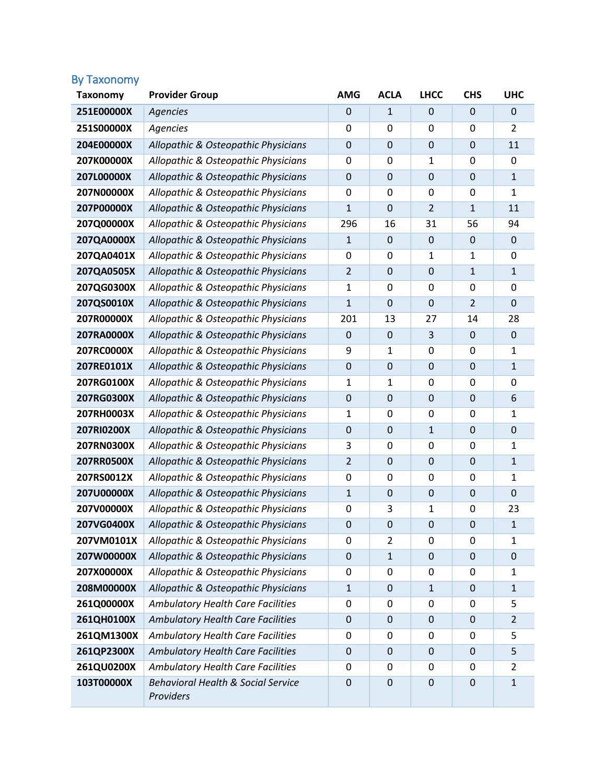## By Taxonomy

| <b>Taxonomy</b> | <b>Provider Group</b>                                      | <b>AMG</b>       | <b>ACLA</b>      | <b>LHCC</b>      | <b>CHS</b>       | <b>UHC</b>     |
|-----------------|------------------------------------------------------------|------------------|------------------|------------------|------------------|----------------|
| 251E00000X      | <b>Agencies</b>                                            | $\mathbf 0$      | $\mathbf{1}$     | 0                | 0                | 0              |
| 251S00000X      | <b>Agencies</b>                                            | 0                | 0                | $\Omega$         | $\mathbf{0}$     | $\overline{2}$ |
| 204E00000X      | Allopathic & Osteopathic Physicians                        | 0                | $\mathbf 0$      | $\mathbf 0$      | 0                | 11             |
| 207K00000X      | Allopathic & Osteopathic Physicians                        | 0                | 0                | 1                | 0                | 0              |
| 207L00000X      | Allopathic & Osteopathic Physicians                        | $\boldsymbol{0}$ | $\mathbf 0$      | $\mathbf 0$      | $\overline{0}$   | $\mathbf{1}$   |
| 207N00000X      | Allopathic & Osteopathic Physicians                        | 0                | 0                | 0                | 0                | 1              |
| 207P00000X      | Allopathic & Osteopathic Physicians                        | 1                | $\mathbf 0$      | $\overline{2}$   | $\mathbf{1}$     | 11             |
| 207Q00000X      | Allopathic & Osteopathic Physicians                        | 296              | 16               | 31               | 56               | 94             |
| 207QA0000X      | Allopathic & Osteopathic Physicians                        | $\mathbf{1}$     | 0                | $\boldsymbol{0}$ | $\mathbf 0$      | $\mathbf 0$    |
| 207QA0401X      | Allopathic & Osteopathic Physicians                        | 0                | 0                | 1                | 1                | 0              |
| 207QA0505X      | Allopathic & Osteopathic Physicians                        | $\overline{2}$   | $\mathbf 0$      | $\mathbf 0$      | $\mathbf{1}$     | $\mathbf{1}$   |
| 207QG0300X      | Allopathic & Osteopathic Physicians                        | 1                | 0                | 0                | 0                | $\mathbf 0$    |
| 207QS0010X      | Allopathic & Osteopathic Physicians                        | 1                | $\mathbf 0$      | $\mathbf 0$      | $\overline{2}$   | $\mathbf 0$    |
| 207R00000X      | Allopathic & Osteopathic Physicians                        | 201              | 13               | 27               | 14               | 28             |
| 207RA0000X      | Allopathic & Osteopathic Physicians                        | $\mathbf 0$      | 0                | 3                | 0                | $\mathbf 0$    |
| 207RC0000X      | Allopathic & Osteopathic Physicians                        | 9                | $\mathbf{1}$     | 0                | 0                | 1              |
| 207RE0101X      | Allopathic & Osteopathic Physicians                        | $\boldsymbol{0}$ | $\mathbf 0$      | $\mathbf 0$      | $\overline{0}$   | $\mathbf{1}$   |
| 207RG0100X      | Allopathic & Osteopathic Physicians                        | 1                | $\mathbf{1}$     | 0                | 0                | $\mathbf 0$    |
| 207RG0300X      | Allopathic & Osteopathic Physicians                        | $\mathbf 0$      | $\mathbf 0$      | $\mathbf 0$      | $\overline{0}$   | 6              |
| 207RH0003X      | Allopathic & Osteopathic Physicians                        | 1                | 0                | 0                | 0                | $\mathbf{1}$   |
| 207RI0200X      | Allopathic & Osteopathic Physicians                        | 0                | $\mathbf 0$      | $\mathbf{1}$     | 0                | $\mathbf 0$    |
| 207RN0300X      | Allopathic & Osteopathic Physicians                        | 3                | 0                | 0                | 0                | 1              |
| 207RR0500X      | Allopathic & Osteopathic Physicians                        | $\overline{2}$   | $\mathbf 0$      | $\mathbf 0$      | $\overline{0}$   | $\mathbf{1}$   |
| 207RS0012X      | Allopathic & Osteopathic Physicians                        | 0                | 0                | 0                | 0                | 1              |
| 207U00000X      | Allopathic & Osteopathic Physicians                        | $\mathbf{1}$     | $\mathbf 0$      | $\mathbf 0$      | $\overline{0}$   | $\mathbf 0$    |
| 207V00000X      | Allopathic & Osteopathic Physicians                        | 0                | 3                | 1                | 0                | 23             |
| 207VG0400X      | Allopathic & Osteopathic Physicians                        | $\mathbf 0$      | $\mathbf 0$      | $\boldsymbol{0}$ | $\boldsymbol{0}$ | 1              |
| 207VM0101X      | Allopathic & Osteopathic Physicians                        | 0                | $\overline{2}$   | 0                | 0                | 1              |
| 207W00000X      | Allopathic & Osteopathic Physicians                        | $\boldsymbol{0}$ | $\mathbf{1}$     | $\boldsymbol{0}$ | 0                | $\pmb{0}$      |
| 207X00000X      | Allopathic & Osteopathic Physicians                        | 0                | 0                | 0                | 0                | 1              |
| 208M00000X      | Allopathic & Osteopathic Physicians                        | $\mathbf{1}$     | 0                | $\mathbf{1}$     | 0                | $\mathbf{1}$   |
| 261Q00000X      | <b>Ambulatory Health Care Facilities</b>                   | $\mathbf 0$      | 0                | $\pmb{0}$        | 0                | 5              |
| 261QH0100X      | <b>Ambulatory Health Care Facilities</b>                   | $\mathbf 0$      | 0                | $\boldsymbol{0}$ | 0                | $\overline{2}$ |
| 261QM1300X      | <b>Ambulatory Health Care Facilities</b>                   | 0                | 0                | 0                | 0                | 5              |
| 261QP2300X      | <b>Ambulatory Health Care Facilities</b>                   | $\mathbf 0$      | $\boldsymbol{0}$ | $\boldsymbol{0}$ | $\boldsymbol{0}$ | 5              |
| 261QU0200X      | <b>Ambulatory Health Care Facilities</b>                   | 0                | 0                | 0                | 0                | $\overline{2}$ |
| 103T00000X      | <b>Behavioral Health &amp; Social Service</b><br>Providers | $\mathbf 0$      | $\mathbf 0$      | $\mathbf 0$      | $\overline{0}$   | $\mathbf{1}$   |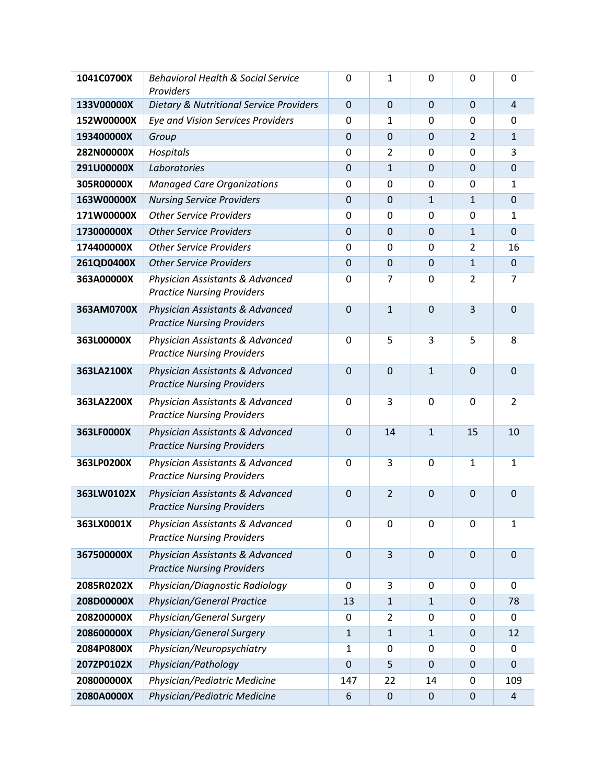| 1041C0700X | <b>Behavioral Health &amp; Social Service</b><br>Providers           | $\overline{0}$   | 1              | $\mathbf 0$      | 0                | 0                       |
|------------|----------------------------------------------------------------------|------------------|----------------|------------------|------------------|-------------------------|
| 133V00000X | <b>Dietary &amp; Nutritional Service Providers</b>                   | $\mathbf 0$      | $\overline{0}$ | $\mathbf 0$      | $\mathbf 0$      | $\overline{4}$          |
| 152W00000X | <b>Eye and Vision Services Providers</b>                             |                  | $\mathbf 1$    | 0                | $\Omega$         | $\mathbf 0$             |
| 193400000X | Group                                                                |                  | $\mathbf 0$    | $\mathbf 0$      | $\overline{2}$   | $\mathbf{1}$            |
| 282N00000X | Hospitals                                                            | $\mathbf 0$      | $\overline{2}$ | 0                | 0                | 3                       |
| 291U00000X | Laboratories                                                         | $\boldsymbol{0}$ | $\mathbf{1}$   | $\mathbf 0$      | $\mathbf 0$      | $\mathbf 0$             |
| 305R00000X | <b>Managed Care Organizations</b>                                    | 0                | $\mathbf 0$    | 0                | 0                | 1                       |
| 163W00000X | <b>Nursing Service Providers</b>                                     | $\boldsymbol{0}$ | $\overline{0}$ | $\mathbf{1}$     | $\mathbf{1}$     | $\mathbf 0$             |
| 171W00000X | <b>Other Service Providers</b>                                       | $\mathbf 0$      | $\mathbf 0$    | 0                | 0                | $\mathbf{1}$            |
| 173000000X | <b>Other Service Providers</b>                                       | $\mathbf 0$      | $\mathbf 0$    | $\mathbf 0$      | $\mathbf{1}$     | $\mathbf 0$             |
| 174400000X | <b>Other Service Providers</b>                                       | $\mathbf 0$      | 0              | 0                | 2                | 16                      |
| 261QD0400X | <b>Other Service Providers</b>                                       | $\boldsymbol{0}$ | $\mathbf 0$    | $\mathbf 0$      | $\mathbf{1}$     | $\pmb{0}$               |
| 363A00000X | Physician Assistants & Advanced<br><b>Practice Nursing Providers</b> | $\mathbf 0$      | 7              | 0                | $\overline{2}$   | 7                       |
| 363AM0700X | Physician Assistants & Advanced<br><b>Practice Nursing Providers</b> | $\mathbf 0$      | $\mathbf{1}$   | $\mathbf 0$      | 3                | $\mathbf 0$             |
| 363L00000X | Physician Assistants & Advanced<br><b>Practice Nursing Providers</b> | $\mathbf 0$      | 5              | 3                | 5                | 8                       |
| 363LA2100X | Physician Assistants & Advanced<br><b>Practice Nursing Providers</b> | $\overline{0}$   | $\overline{0}$ | $\mathbf{1}$     | $\overline{0}$   | $\mathbf 0$             |
| 363LA2200X | Physician Assistants & Advanced<br><b>Practice Nursing Providers</b> | $\mathbf 0$      | 3              | $\mathbf 0$      | $\mathbf 0$      | $\overline{2}$          |
| 363LF0000X | Physician Assistants & Advanced<br><b>Practice Nursing Providers</b> | $\overline{0}$   | 14             | $\mathbf{1}$     | 15               | 10                      |
| 363LP0200X | Physician Assistants & Advanced<br><b>Practice Nursing Providers</b> | $\mathbf 0$      | 3              | 0                | $\mathbf{1}$     | $\mathbf{1}$            |
| 363LW0102X | Physician Assistants & Advanced<br><b>Practice Nursing Providers</b> | $\mathbf 0$      | $\overline{2}$ | $\mathbf 0$      | $\mathbf 0$      | $\boldsymbol{0}$        |
| 363LX0001X | Physician Assistants & Advanced<br><b>Practice Nursing Providers</b> | 0                | 0              | 0                | 0                | $\mathbf{1}$            |
| 367500000X | Physician Assistants & Advanced<br><b>Practice Nursing Providers</b> | $\mathbf 0$      | 3              | $\mathbf 0$      | $\mathbf 0$      | $\mathbf 0$             |
| 2085R0202X | Physician/Diagnostic Radiology                                       | $\mathbf 0$      | 3              | 0                | 0                | $\mathbf 0$             |
| 208D00000X | <b>Physician/General Practice</b>                                    | 13               | $\mathbf{1}$   | $\mathbf{1}$     | $\mathbf 0$      | 78                      |
| 208200000X | Physician/General Surgery                                            | 0                | 2              | 0                | 0                | 0                       |
| 208600000X | Physician/General Surgery                                            | $\mathbf{1}$     | $\mathbf 1$    | $\mathbf{1}$     | $\boldsymbol{0}$ | 12                      |
| 2084P0800X | Physician/Neuropsychiatry                                            | $\mathbf{1}$     | 0              | 0                | 0                | 0                       |
| 207ZP0102X | Physician/Pathology                                                  | $\mathbf 0$      | 5              | $\mathbf 0$      | 0                | 0                       |
| 208000000X | Physician/Pediatric Medicine                                         | 147              | 22             | 14               | 0                | 109                     |
| 2080A0000X | Physician/Pediatric Medicine                                         | 6                | $\mathbf 0$    | $\boldsymbol{0}$ | $\boldsymbol{0}$ | $\overline{\mathbf{4}}$ |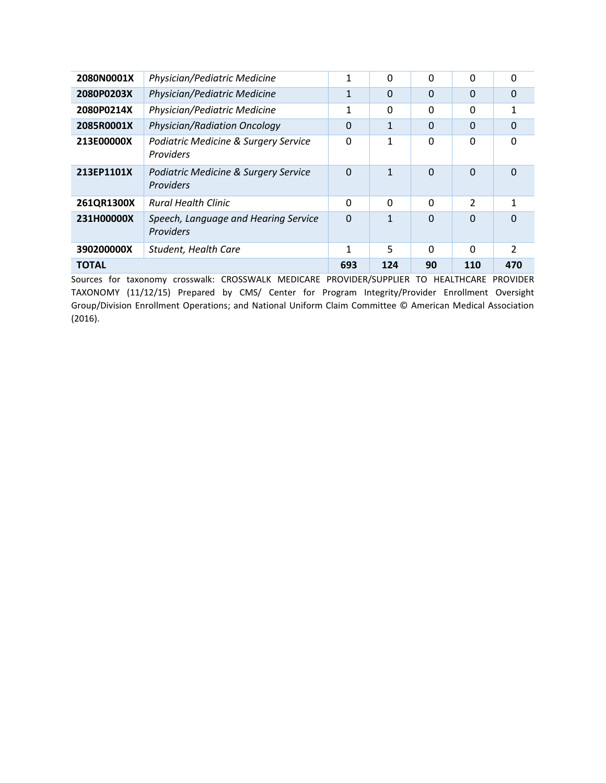| 2080N0001X   | Physician/Pediatric Medicine                      | 1        | $\Omega$ | 0        | $\Omega$       | 0              |
|--------------|---------------------------------------------------|----------|----------|----------|----------------|----------------|
| 2080P0203X   | Physician/Pediatric Medicine                      | 1        | $\Omega$ | $\Omega$ | $\Omega$       | 0              |
| 2080P0214X   | Physician/Pediatric Medicine                      | 1        | $\Omega$ | 0        | $\Omega$       | 1              |
| 2085R0001X   | <b>Physician/Radiation Oncology</b>               | $\Omega$ | 1        | $\Omega$ | $\Omega$       | 0              |
| 213E00000X   | Podiatric Medicine & Surgery Service<br>Providers | $\Omega$ | 1        | 0        | $\Omega$       | $\Omega$       |
| 213EP1101X   | Podiatric Medicine & Surgery Service<br>Providers | $\Omega$ | 1        | 0        | $\Omega$       | $\Omega$       |
| 261QR1300X   | <b>Rural Health Clinic</b>                        | $\Omega$ | $\Omega$ | 0        | $\mathfrak{p}$ | 1              |
| 231H00000X   | Speech, Language and Hearing Service<br>Providers | $\Omega$ | 1        | $\Omega$ | $\Omega$       | 0              |
| 390200000X   | Student, Health Care                              | 1        | 5        | 0        | $\Omega$       | $\mathfrak{p}$ |
| <b>TOTAL</b> |                                                   | 693      | 124      | 90       | 110            | 470            |

Sources for taxonomy crosswalk: CROSSWALK MEDICARE PROVIDER/SUPPLIER TO HEALTHCARE PROVIDER TAXONOMY (11/12/15) Prepared by CMS/ Center for Program Integrity/Provider Enrollment Oversight Group/Division Enrollment Operations; and National Uniform Claim Committee © American Medical Association (2016).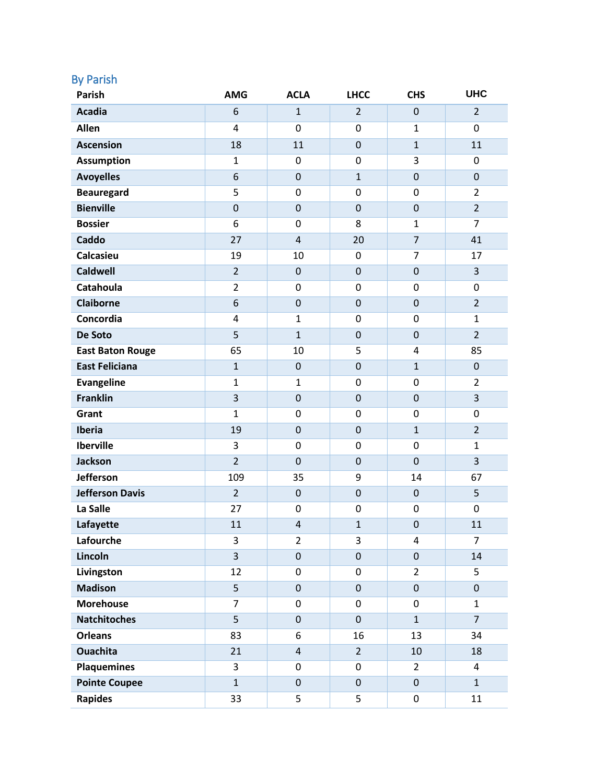| <b>By Parish</b><br><b>Parish</b> | <b>AMG</b>     | <b>ACLA</b>      | <b>LHCC</b>    | <b>CHS</b>       | <b>UHC</b>       |
|-----------------------------------|----------------|------------------|----------------|------------------|------------------|
| <b>Acadia</b>                     | 6              | $\mathbf{1}$     | $\overline{2}$ | $\mathbf 0$      | $\overline{2}$   |
| Allen                             | 4              | $\mathbf 0$      | $\mathbf 0$    | $\mathbf{1}$     | 0                |
| <b>Ascension</b>                  | 18             | 11               | $\pmb{0}$      | $\mathbf{1}$     | 11               |
| <b>Assumption</b>                 | $\mathbf{1}$   | 0                | $\mathbf 0$    | 3                | 0                |
| <b>Avoyelles</b>                  | 6              | $\mathbf 0$      | $\mathbf{1}$   | $\mathbf 0$      | $\mathbf 0$      |
| <b>Beauregard</b>                 | 5              | $\mathbf 0$      | $\mathbf 0$    | 0                | $\overline{2}$   |
| <b>Bienville</b>                  | $\mathbf 0$    | $\boldsymbol{0}$ | $\mathbf 0$    | $\boldsymbol{0}$ | $\overline{2}$   |
| <b>Bossier</b>                    | 6              | 0                | 8              | $\mathbf{1}$     | $\overline{7}$   |
| Caddo                             | 27             | $\overline{4}$   | 20             | $\overline{7}$   | 41               |
| <b>Calcasieu</b>                  | 19             | 10               | 0              | 7                | 17               |
| <b>Caldwell</b>                   | $\overline{2}$ | $\pmb{0}$        | $\mathbf 0$    | $\mathbf 0$      | 3                |
| <b>Catahoula</b>                  | $\overline{2}$ | $\mathbf 0$      | $\mathbf 0$    | 0                | $\mathbf 0$      |
| <b>Claiborne</b>                  | 6              | $\boldsymbol{0}$ | $\mathbf 0$    | $\mathbf 0$      | $\overline{2}$   |
| Concordia                         | 4              | $\mathbf{1}$     | $\mathbf 0$    | 0                | $\mathbf{1}$     |
| De Soto                           | 5              | $\mathbf{1}$     | $\pmb{0}$      | $\mathbf 0$      | $\overline{2}$   |
| <b>East Baton Rouge</b>           | 65             | 10               | 5              | 4                | 85               |
| <b>East Feliciana</b>             | $\mathbf{1}$   | $\pmb{0}$        | $\mathbf 0$    | $\mathbf{1}$     | $\boldsymbol{0}$ |
| <b>Evangeline</b>                 | $\mathbf{1}$   | $\mathbf{1}$     | $\mathbf 0$    | 0                | $\overline{2}$   |
| <b>Franklin</b>                   | 3              | $\boldsymbol{0}$ | $\mathbf 0$    | $\mathbf 0$      | 3                |
| Grant                             | $\mathbf{1}$   | $\pmb{0}$        | $\mathbf 0$    | 0                | 0                |
| Iberia                            | 19             | $\pmb{0}$        | $\pmb{0}$      | $\mathbf{1}$     | $\overline{2}$   |
| <b>Iberville</b>                  | 3              | $\boldsymbol{0}$ | 0              | 0                | 1                |
| Jackson                           | $\overline{2}$ | $\mathbf 0$      | $\mathbf 0$    | $\mathbf 0$      | 3                |
| <b>Jefferson</b>                  | 109            | 35               | 9              | 14               | 67               |
| <b>Jefferson Davis</b>            | $\overline{2}$ | $\mathbf 0$      | $\mathbf 0$    | $\mathbf 0$      | 5                |
| La Salle                          | 27             | $\boldsymbol{0}$ | $\mathbf 0$    | 0                | 0                |
| Lafayette                         | 11             | $\overline{4}$   | $\mathbf{1}$   | $\boldsymbol{0}$ | 11               |
| Lafourche                         | 3              | $\overline{2}$   | 3              | 4                | $\overline{7}$   |
| Lincoln                           | $\overline{3}$ | $\pmb{0}$        | $\pmb{0}$      | 0                | 14               |
| Livingston                        | 12             | $\pmb{0}$        | $\pmb{0}$      | $\overline{2}$   | 5                |
| <b>Madison</b>                    | 5              | $\pmb{0}$        | $\pmb{0}$      | $\pmb{0}$        | $\mathbf 0$      |
| <b>Morehouse</b>                  | $\overline{7}$ | $\pmb{0}$        | $\mathbf 0$    | 0                | $\mathbf{1}$     |
| <b>Natchitoches</b>               | 5              | $\pmb{0}$        | $\pmb{0}$      | $\mathbf{1}$     | $\overline{7}$   |
| <b>Orleans</b>                    | 83             | 6                | 16             | 13               | 34               |
| <b>Ouachita</b>                   | 21             | $\overline{4}$   | $\overline{2}$ | 10               | 18               |
| <b>Plaquemines</b>                | 3              | $\pmb{0}$        | $\pmb{0}$      | $\overline{2}$   | 4                |
| <b>Pointe Coupee</b>              | $\mathbf{1}$   | $\pmb{0}$        | $\pmb{0}$      | $\boldsymbol{0}$ | $\mathbf{1}$     |
| <b>Rapides</b>                    | 33             | 5                | 5              | $\pmb{0}$        | 11               |